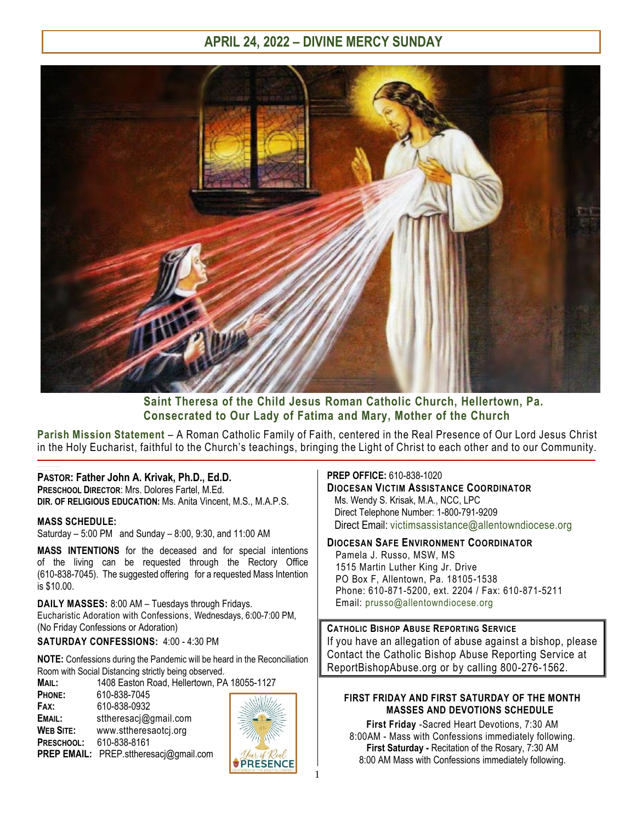

# **Saint Theresa of the Child Jesus Roman Catholic Church, Hellertown, Pa. Consecrated to Our Lady of Fatima and Mary, Mother of the Church**

**Parish Mission Statement** – A Roman Catholic Family of Faith, centered in the Real Presence of Our Lord Jesus Christ in the Holy Eucharist, faithful to the Church's teachings, bringing the Light of Christ to each other and to our Community.  $\_$  , and the state of the state of the state of the state of the state of the state of the state of the state of the state of the state of the state of the state of the state of the state of the state of the state of the **\_\_\_\_\_\_\_\_\_\_\_\_\_\_\_\_\_\_\_\_\_\_\_\_\_\_\_\_\_\_\_\_\_\_\_\_\_\_\_\_\_\_\_\_\_\_\_\_\_**

#### **PASTOR: Father John A. Krivak, Ph.D., Ed.D. PRESCHOOL DIRECTOR**: Mrs. Dolores Fartel, M.Ed.

**DIR. OF RELIGIOUS EDUCATION:** Ms. Anita Vincent, M.S., M.A.P.S.

#### **MASS SCHEDULE:**

Saturday – 5:00 PM and Sunday – 8:00, 9:30, and 11:00 AM

**MASS INTENTIONS** for the deceased and for special intentions of the living can be requested through the Rectory Office (610-838-7045). The suggested offering for a requested Mass Intention is \$10.00.

**DAILY MASSES:** 8:00 AM – Tuesdays through Fridays. Eucharistic Adoration with Confessions, Wednesdays, 6:00-7:00 PM, (No Friday Confessions or Adoration)

**SATURDAY CONFESSIONS:** 4:00 - 4:30 PM

**NOTE:** Confessions during the Pandemic will be heard in the Reconciliation Room with Social Distancing strictly being observed.

**MAIL:** 1408 Easton Road, Hellertown, PA 18055-1127

**PHONE:** 610-838-7045 **FAX:** 610-838-0932 **EMAIL:** sttheresacj@gmail.com **WEB SITE:** [www.sttheresaotcj.org](http://www.sttheresaotcj.org/) **PRESCHOOL:** 610-838-8161 **PREP EMAIL:** [PREP.sttheresacj@gmail.com](mailto:PREP.sttheresacj@gmail.com)



#### **PREP OFFICE:** 610-838-1020

# **DIOCESAN VICTIM ASSISTANCE COORDINATOR**

Ms. Wendy S. Krisak, M.A., NCC, LPC Direct Telephone Number: 1-800-791-9209 Direct Email: [victimsassistance@allentowndiocese.org](mailto:victimsassistance@allentowndiocese.org)

#### **DIOCESAN SAFE ENVIRONMENT COORDINATOR**

 Pamela J. Russo, MSW, MS 1515 Martin Luther King Jr. Drive PO Box F, Allentown, Pa. 18105-1538 Phone: 610-871-5200, ext. 2204 / Fax: 610-871-5211 Email: [prusso@allentowndiocese.org](mailto:prusso@allentowndiocese.org)

**CATHOLIC BISHOP ABUSE REPORTING SERVICE**  If you have an allegation of abuse against a bishop, please Contact the Catholic Bishop Abuse Reporting Service at ReportBishopAbuse.org or by calling 800-276-1562.

#### **FIRST FRIDAY AND FIRST SATURDAY OF THE MONTH MASSES AND DEVOTIONS SCHEDULE**

**First Friday** -Sacred Heart Devotions, 7:30 AM 8:00AM - Mass with Confessions immediately following. **First Saturday -** Recitation of the Rosary, 7:30 AM 8:00 AM Mass with Confessions immediately following.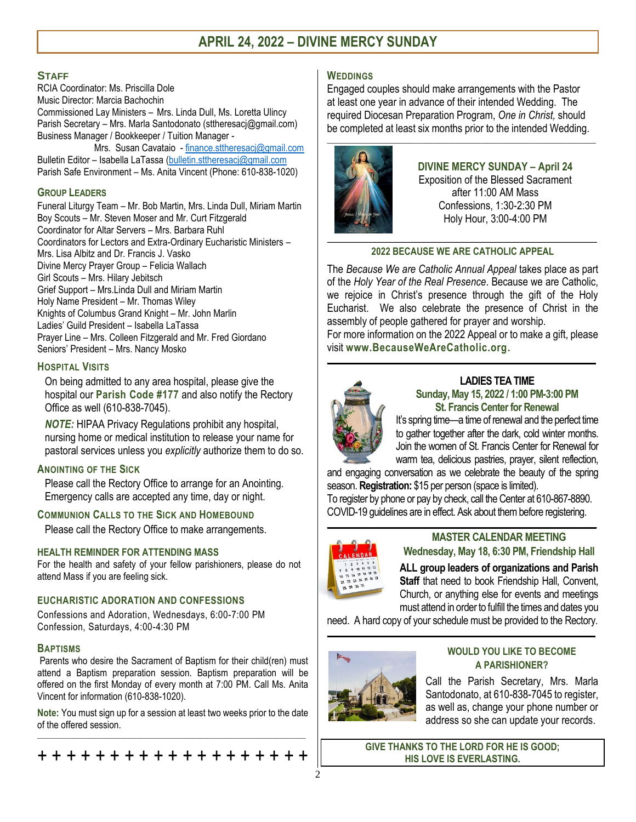#### **STAFF**

RCIA Coordinator: Ms. Priscilla Dole Music Director: Marcia Bachochin Commissioned Lay Ministers – Mrs. Linda Dull, Ms. Loretta Ulincy Parish Secretary – Mrs. Marla Santodonato (sttheresacj@gmail.com) Business Manager / Bookkeeper / Tuition Manager -

 Mrs. Susan Cavataio - [finance.sttheresacj@gmail.com](mailto:finance.sttheresacj@gmail.com) Bulletin Editor - Isabella LaTassa [\(bulletin.sttheresacj@gmail.com](mailto:bulletin.sttheresacj@gmail.com) Parish Safe Environment – Ms. Anita Vincent (Phone: 610-838-1020)

#### **GROUP LEADERS**

Funeral Liturgy Team – Mr. Bob Martin, Mrs. Linda Dull, Miriam Martin Boy Scouts – Mr. Steven Moser and Mr. Curt Fitzgerald Coordinator for Altar Servers – Mrs. Barbara Ruhl Coordinators for Lectors and Extra-Ordinary Eucharistic Ministers – Mrs. Lisa Albitz and Dr. Francis J. Vasko Divine Mercy Prayer Group – Felicia Wallach Girl Scouts – Mrs. Hilary Jebitsch Grief Support – Mrs.Linda Dull and Miriam Martin Holy Name President – Mr. Thomas Wiley Knights of Columbus Grand Knight – Mr. John Marlin Ladies' Guild President – Isabella LaTassa Prayer Line – Mrs. Colleen Fitzgerald and Mr. Fred Giordano Seniors' President – Mrs. Nancy Mosko

### **HOSPITAL VISITS**

On being admitted to any area hospital, please give the hospital our **Parish Code #177** and also notify the Rectory Office as well (610-838-7045).

*NOTE:* HIPAA Privacy Regulations prohibit any hospital, nursing home or medical institution to release your name for pastoral services unless you *explicitly* authorize them to do so.

# **ANOINTING OF THE SICK**

Please call the Rectory Office to arrange for an Anointing. Emergency calls are accepted any time, day or night.

# **COMMUNION CALLS TO THE SICK AND HOMEBOUND**

Please call the Rectory Office to make arrangements.

# **HEALTH REMINDER FOR ATTENDING MASS**

For the health and safety of your fellow parishioners, please do not attend Mass if you are feeling sick.

# **EUCHARISTIC ADORATION AND CONFESSIONS**

Confessions and Adoration, Wednesdays, 6:00-7:00 PM Confession, Saturdays, 4:00-4:30 PM

#### **BAPTISMS**

Parents who desire the Sacrament of Baptism for their child(ren) must attend a Baptism preparation session. Baptism preparation will be offered on the first Monday of every month at 7:00 PM. Call Ms. Anita Vincent for information (610-838-1020).

**Note:** You must sign up for a session at least two weeks prior to the date of the offered session. \_\_\_\_\_\_\_\_\_\_\_\_\_\_\_\_\_\_\_\_\_\_\_\_\_\_\_\_\_\_\_\_\_\_\_\_\_\_\_\_\_\_\_\_\_\_\_\_\_\_\_\_\_\_\_\_\_\_\_\_\_\_\_\_\_\_\_\_\_\_\_\_\_\_\_\_\_\_\_\_\_

+ + + + + + + + + + + + + + + + + + +

### **WEDDINGS**

Engaged couples should make arrangements with the Pastor at least one year in advance of their intended Wedding. The required Diocesan Preparation Program, *One in Christ,* should be completed at least six months prior to the intended Wedding.



# **DIVINE MERCY SUNDAY – April 24**

Exposition of the Blessed Sacrament after 11:00 AM Mass Confessions, 1:30-2:30 PM Holy Hour, 3:00-4:00 PM

# **2022 BECAUSE WE ARE CATHOLIC APPEAL**

The *Because We are Catholic Annual Appeal* takes place as part of the *Holy Year of the Real Presence*. Because we are Catholic, we rejoice in Christ's presence through the gift of the Holy Eucharist. We also celebrate the presence of Christ in the assembly of people gathered for prayer and worship.

For more information on the 2022 Appeal or to make a gift, please visit **[www.BecauseWeAreCatholic.org.](http://www.becausewearecatholic.org/)**  $\mathcal{L}_\mathcal{L} = \mathcal{L}_\mathcal{L}$  , where  $\mathcal{L}_\mathcal{L} = \mathcal{L}_\mathcal{L}$  ,  $\mathcal{L}_\mathcal{L} = \mathcal{L}_\mathcal{L}$  ,  $\mathcal{L}_\mathcal{L} = \mathcal{L}_\mathcal{L}$  ,  $\mathcal{L}_\mathcal{L} = \mathcal{L}_\mathcal{L}$ 



#### **LADIES TEA TIME Sunday, May 15, 2022 / 1:00 PM-3:00 PM St. Francis Center for Renewal**

It's spring time—a time of renewal and the perfect time to gather together after the dark, cold winter months. Join the women of St. Francis Center for Renewal for warm tea, delicious pastries, prayer, silent reflection,

and engaging conversation as we celebrate the beauty of the spring season. **Registration:** \$15 per person (space is limited).

To register by phone or pay by check, call the Center at 610-867-8890. COVID-19 guidelines are in effect. Ask about them before registering.  $\mathcal{L}_\text{max} = \mathcal{L}_\text{max} = \mathcal{L}_\text{max} = \mathcal{L}_\text{max} = \mathcal{L}_\text{max} = \mathcal{L}_\text{max} = \mathcal{L}_\text{max} = \mathcal{L}_\text{max} = \mathcal{L}_\text{max} = \mathcal{L}_\text{max} = \mathcal{L}_\text{max} = \mathcal{L}_\text{max} = \mathcal{L}_\text{max} = \mathcal{L}_\text{max} = \mathcal{L}_\text{max} = \mathcal{L}_\text{max} = \mathcal{L}_\text{max} = \mathcal{L}_\text{max} = \mathcal{$ 



### **MASTER CALENDAR MEETING Wednesday, May 18, 6:30 PM, Friendship Hall**

**ALL group leaders of organizations and Parish Staff** that need to book Friendship Hall, Convent, Church, or anything else for events and meetings must attend in order to fulfill the times and dates you

need. A hard copy of your schedule must be provided to the Rectory.  $\mathcal{L}_\text{max} = \mathcal{L}_\text{max} = \mathcal{L}_\text{max} = \mathcal{L}_\text{max} = \mathcal{L}_\text{max} = \mathcal{L}_\text{max} = \mathcal{L}_\text{max} = \mathcal{L}_\text{max} = \mathcal{L}_\text{max} = \mathcal{L}_\text{max} = \mathcal{L}_\text{max} = \mathcal{L}_\text{max} = \mathcal{L}_\text{max} = \mathcal{L}_\text{max} = \mathcal{L}_\text{max} = \mathcal{L}_\text{max} = \mathcal{L}_\text{max} = \mathcal{L}_\text{max} = \mathcal{$ 



#### **WOULD YOU LIKE TO BECOME A PARISHIONER?**

Call the Parish Secretary, Mrs. Marla Santodonato, at 610-838-7045 to register, as well as, change your phone number or address so she can update your records.

**GIVE THANKS TO THE LORD FOR HE IS GOOD; HIS LOVE IS EVERLASTING.**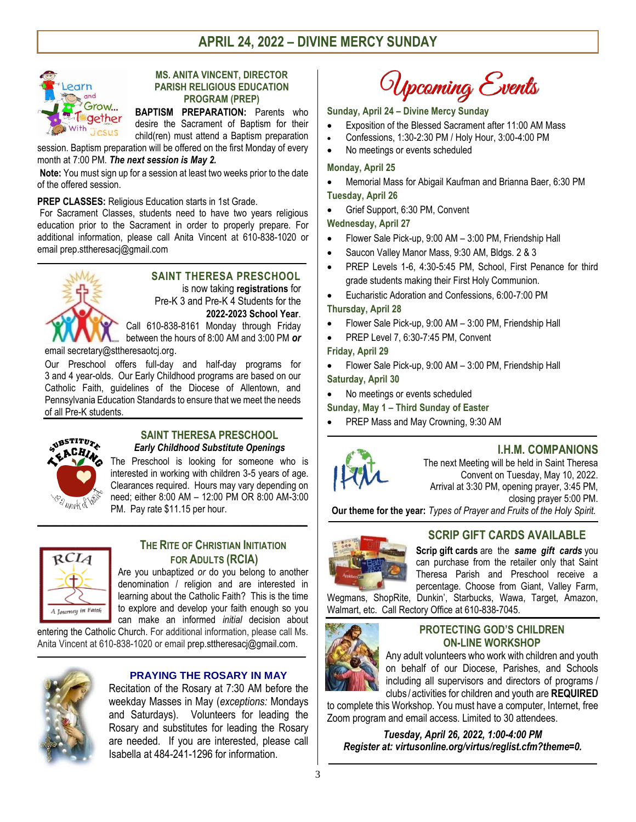

#### **MS. ANITA VINCENT, DIRECTOR PARISH RELIGIOUS EDUCATION PROGRAM (PREP)**

**BAPTISM PREPARATION:** Parents who desire the Sacrament of Baptism for their child(ren) must attend a Baptism preparation

session. Baptism preparation will be offered on the first Monday of every month at 7:00 PM. *The next session is May 2.*

**Note:** You must sign up for a session at least two weeks prior to the date of the offered session.

**PREP CLASSES:** Religious Education starts in 1st Grade.

For Sacrament Classes, students need to have two years religious education prior to the Sacrament in order to properly prepare. For additional information, please call Anita Vincent at 610-838-1020 or email [prep.sttheresacj@gmail.com](mailto:prep.sttheresacj@gmail.com)

**\_\_\_\_\_\_\_\_\_\_\_\_\_\_\_\_\_\_\_\_\_\_\_\_\_\_\_\_\_\_\_\_\_\_\_\_\_\_\_\_\_\_\_\_\_\_\_\_\_\_\_\_\_\_\_\_\_\_\_\_\_\_\_\_\_\_\_\_\_\_\_**



# **SAINT THERESA PRESCHOOL**

is now taking **registrations** for Pre-K 3 and Pre-K 4 Students for the **2022-2023 School Year**.

Call 610-838-8161 Monday through Friday between the hours of 8:00 AM and 3:00 PM *or*

email secretary@sttheresaotcj.org.

Our Preschool offers full-day and half-day programs for 3 and 4 year-olds. Our Early Childhood programs are based on our Catholic Faith, guidelines of the Diocese of Allentown, and Pennsylvania Education Standards to ensure that we meet the needs of all Pre-K students.



#### **SAINT THERESA PRESCHOOL** *Early Childhood Substitute Openings*

The Preschool is looking for someone who is interested in working with children 3-5 years of age. Clearances required. Hours may vary depending on need; either 8:00 AM – 12:00 PM OR 8:00 AM-3:00 PM. Pay rate \$11.15 per hour.



### **THE RITE OF CHRISTIAN INITIATION FOR ADULTS (RCIA)**

Are you unbaptized *or* do you belong to another denomination / religion and are interested in learning about the Catholic Faith? This is the time to explore and develop your faith enough so you can make an informed *initial* decision about

entering the Catholic Church. For additional information, please call Ms. Anita Vincent at 610-838-1020 or email [prep.sttheresacj@gmail.com.](mailto:prep.sttheresacj@gmail.com)



#### **PRAYING THE ROSARY IN MAY**

Recitation of the Rosary at 7:30 AM before the weekday Masses in May (*exceptions:* Mondays and Saturdays). Volunteers for leading the Rosary and substitutes for leading the Rosary are needed. If you are interested, please call Isabella at 484-241-1296 for information.

Upcoming Events

#### **Sunday, April 24 – Divine Mercy Sunday**

- Exposition of the Blessed Sacrament after 11:00 AM Mass
- Confessions, 1:30-2:30 PM / Holy Hour, 3:00-4:00 PM
- No meetings or events scheduled

#### **Monday, April 25**

- Memorial Mass for Abigail Kaufman and Brianna Baer, 6:30 PM **Tuesday, April 26**
- Grief Support, 6:30 PM, Convent

**Wednesday, April 27**

- Flower Sale Pick-up, 9:00 AM 3:00 PM, Friendship Hall
- Saucon Valley Manor Mass, 9:30 AM, Bldgs. 2 & 3
- PREP Levels 1-6, 4:30-5:45 PM, School, First Penance for third grade students making their First Holy Communion.
- Eucharistic Adoration and Confessions, 6:00-7:00 PM
- **Thursday, April 28**
- Flower Sale Pick-up, 9:00 AM 3:00 PM, Friendship Hall
- PREP Level 7, 6:30-7:45 PM, Convent

**Friday, April 29**

 Flower Sale Pick-up, 9:00 AM – 3:00 PM, Friendship Hall **Saturday, April 30**

No meetings or events scheduled

- **Sunday, May 1 – Third Sunday of Easter**
- PREP Mass and May Crowning, 9:30 AM



# **I.H.M. COMPANIONS**

The next Meeting will be held in Saint Theresa Convent on Tuesday, May 10, 2022. Arrival at 3:30 PM, opening prayer, 3:45 PM, closing prayer 5:00 PM.

**Our theme for the year:** *Types of Prayer and Fruits of the Holy Spirit.* \_\_\_\_\_\_\_\_\_\_\_\_\_\_\_\_\_\_\_\_\_\_\_\_\_\_\_\_\_\_\_\_\_\_\_\_\_\_\_\_\_\_\_\_\_\_\_\_\_\_\_\_\_\_\_\_\_\_\_\_\_\_\_\_\_\_\_\_\_\_\_\_\_\_\_\_\_\_\_\_\_\_\_\_\_\_\_\_\_\_\_\_\_\_\_\_\_\_\_\_\_\_\_\_\_\_\_\_\_\_\_\_\_\_

 $\mathcal{L}_\mathcal{L} = \{ \mathcal{L}_\mathcal{L} = \{ \mathcal{L}_\mathcal{L} = \{ \mathcal{L}_\mathcal{L} = \{ \mathcal{L}_\mathcal{L} = \{ \mathcal{L}_\mathcal{L} = \{ \mathcal{L}_\mathcal{L} = \{ \mathcal{L}_\mathcal{L} = \{ \mathcal{L}_\mathcal{L} = \{ \mathcal{L}_\mathcal{L} = \{ \mathcal{L}_\mathcal{L} = \{ \mathcal{L}_\mathcal{L} = \{ \mathcal{L}_\mathcal{L} = \{ \mathcal{L}_\mathcal{L} = \{ \mathcal{L}_\mathcal{$ 



# **SCRIP GIFT CARDS AVAILABLE**

**Scrip gift cards** are the *same gift cards* you can purchase from the retailer only that Saint Theresa Parish and Preschool receive a percentage. Choose from Giant, Valley Farm,

Wegmans, ShopRite, Dunkin', Starbucks, Wawa, Target, Amazon, Walmart, etc. Call Rectory Office at 610-838-7045.



#### **PROTECTING GOD'S CHILDREN ON-LINE WORKSHOP**

Any adult volunteers who work with children and youth on behalf of our Diocese, Parishes, and Schools including all supervisors and directors of programs / clubs / activities for children and youth are **REQUIRED**

to complete this Workshop. You must have a computer, Internet, free Zoom program and email access. Limited to 30 attendees.

*Tuesday, April 26, 2022, 1:00-4:00 PM Register at: virtusonline.org/virtus/reglist.cfm?theme=0.*

**\_\_\_\_\_\_\_\_\_\_\_\_\_\_\_\_\_\_\_\_\_\_\_\_\_\_\_\_\_\_\_\_\_\_\_\_\_\_\_\_\_\_\_\_\_\_\_\_\_\_\_\_\_\_\_\_\_\_\_\_\_\_\_**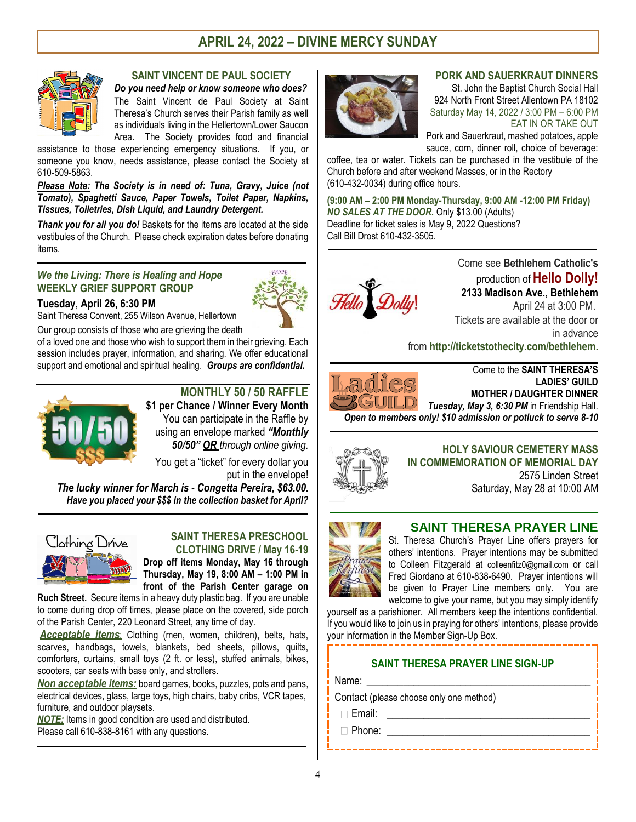

### **SAINT VINCENT DE PAUL SOCIETY**

*Do you need help or know someone who does?* The Saint Vincent de Paul Society at Saint Theresa's Church serves their Parish family as well as individuals living in the Hellertown/Lower Saucon Area. The Society provides food and financial

assistance to those experiencing emergency situations. If you, or someone you know, needs assistance, please contact the Society at 610-509-5863.

*Please Note: The Society is in need of: Tuna, Gravy, Juice (not Tomato), Spaghetti Sauce, Paper Towels, Toilet Paper, Napkins, Tissues, Toiletries, Dish Liquid, and Laundry Detergent.*

*Thank you for all you do!* Baskets for the items are located at the side vestibules of the Church. Please check expiration dates before donating items.

 $\mathcal{L}_\mathcal{L} = \{ \mathcal{L}_\mathcal{L} = \{ \mathcal{L}_\mathcal{L} = \{ \mathcal{L}_\mathcal{L} = \{ \mathcal{L}_\mathcal{L} = \{ \mathcal{L}_\mathcal{L} = \{ \mathcal{L}_\mathcal{L} = \{ \mathcal{L}_\mathcal{L} = \{ \mathcal{L}_\mathcal{L} = \{ \mathcal{L}_\mathcal{L} = \{ \mathcal{L}_\mathcal{L} = \{ \mathcal{L}_\mathcal{L} = \{ \mathcal{L}_\mathcal{L} = \{ \mathcal{L}_\mathcal{L} = \{ \mathcal{L}_\mathcal{$ 

#### *We the Living: There is Healing and Hope* **WEEKLY GRIEF SUPPORT GROUP**

#### **Tuesday, April 26, 6:30 PM**

Saint Theresa Convent, 255 Wilson Avenue, Hellertown

Our group consists of those who are grieving the death of a loved one and those who wish to support them in their grieving. Each session includes prayer, information, and sharing. We offer educational support and emotional and spiritual healing. *Groups are confidential.* 



# **MONTHLY 50 / 50 RAFFLE**

**\$1 per Chance / Winner Every Month** You can participate in the Raffle by using an envelope marked *"Monthly 50/50" OR through online giving.* 

You get a "ticket" for every dollar you put in the envelope!

*The lucky winner for March is - Congetta Pereira, \$63.00. Have you placed your \$\$\$ in the collection basket for April?*

**\_\_\_\_\_\_\_\_\_\_\_\_\_\_\_\_\_\_\_\_\_\_\_\_\_\_\_\_\_\_\_\_\_\_\_\_\_\_\_\_\_\_\_\_\_\_\_\_\_\_\_\_\_\_\_\_\_\_\_\_\_\_\_\_\_\_\_\_\_\_\_\_\_\_\_\_\_\_\_\_\_\_\_\_\_\_\_\_\_\_\_\_\_\_\_**



#### **SAINT THERESA PRESCHOOL CLOTHING DRIVE / May 16-19**

**Drop off items Monday, May 16 through Thursday, May 19, 8:00 AM – 1:00 PM in front of the Parish Center garage on** 

**Ruch Street.** Secure items in a heavy duty plastic bag. If you are unable to come during drop off times, please place on the covered, side porch of the Parish Center, 220 Leonard Street, any time of day.

*Acceptable items*: Clothing (men, women, children), belts, hats, scarves, handbags, towels, blankets, bed sheets, pillows, quilts, comforters, curtains, small toys (2 ft. or less), stuffed animals, bikes, scooters, car seats with base only, and strollers.

*Non acceptable items:* board games, books, puzzles, pots and pans, electrical devices, glass, large toys, high chairs, baby cribs, VCR tapes, furniture, and outdoor playsets.

 $\mathcal{L}_\text{max} = \mathcal{L}_\text{max} = \mathcal{L}_\text{max} = \mathcal{L}_\text{max} = \mathcal{L}_\text{max} = \mathcal{L}_\text{max} = \mathcal{L}_\text{max} = \mathcal{L}_\text{max} = \mathcal{L}_\text{max} = \mathcal{L}_\text{max} = \mathcal{L}_\text{max} = \mathcal{L}_\text{max} = \mathcal{L}_\text{max} = \mathcal{L}_\text{max} = \mathcal{L}_\text{max} = \mathcal{L}_\text{max} = \mathcal{L}_\text{max} = \mathcal{L}_\text{max} = \mathcal{$ 

*NOTE:* Items in good condition are used and distributed. Please call 610-838-8161 with any questions.



#### **PORK AND SAUERKRAUT DINNERS**

St. John the Baptist Church Social Hall 924 North Front Street Allentown PA 18102 Saturday May 14, 2022 / 3:00 PM – 6:00 PM EAT IN OR TAKE OUT

Pork and Sauerkraut, mashed potatoes, apple sauce, corn, dinner roll, choice of beverage:

coffee, tea or water. Tickets can be purchased in the vestibule of the Church before an[d after](https://creativecommons.org/licenses/by-nc-nd/3.0/) weekend Masses, or in the Rectory ([610-432-0034](https://creativecommons.org/licenses/by-nc-nd/3.0/)) during office hours.

**(9:00 AM – 2:00 PM Monday-Thursday, 9:00 AM -12:00 PM Friday)** *NO SALES AT THE DOOR.* Only \$13.00 (Adults) Deadline for ticket sales is May 9, 2022 Questions? Call Bill Drost 610-432-3505.

 $\mathcal{L}_\mathcal{L} = \{ \mathcal{L}_\mathcal{L} = \{ \mathcal{L}_\mathcal{L} = \{ \mathcal{L}_\mathcal{L} = \{ \mathcal{L}_\mathcal{L} = \{ \mathcal{L}_\mathcal{L} = \{ \mathcal{L}_\mathcal{L} = \{ \mathcal{L}_\mathcal{L} = \{ \mathcal{L}_\mathcal{L} = \{ \mathcal{L}_\mathcal{L} = \{ \mathcal{L}_\mathcal{L} = \{ \mathcal{L}_\mathcal{L} = \{ \mathcal{L}_\mathcal{L} = \{ \mathcal{L}_\mathcal{L} = \{ \mathcal{L}_\mathcal{$ 

 $\mathcal{L}_\text{max} = \mathcal{L}_\text{max} = \mathcal{L}_\text{max} = \mathcal{L}_\text{max} = \mathcal{L}_\text{max} = \mathcal{L}_\text{max} = \mathcal{L}_\text{max} = \mathcal{L}_\text{max} = \mathcal{L}_\text{max} = \mathcal{L}_\text{max} = \mathcal{L}_\text{max} = \mathcal{L}_\text{max} = \mathcal{L}_\text{max} = \mathcal{L}_\text{max} = \mathcal{L}_\text{max} = \mathcal{L}_\text{max} = \mathcal{L}_\text{max} = \mathcal{L}_\text{max} = \mathcal{$ 

**\_\_\_\_\_\_\_\_\_\_\_\_\_\_\_\_\_\_\_\_\_\_\_\_\_\_\_\_\_\_\_\_\_\_\_\_\_\_\_\_\_\_\_\_\_\_\_\_\_\_\_\_\_\_\_\_\_\_\_\_\_\_\_\_\_\_\_\_\_\_\_\_\_\_\_\_\_\_\_\_\_**

**\_\_\_\_\_\_\_\_\_\_\_\_\_\_\_\_\_\_\_\_\_\_\_\_\_\_\_\_\_\_\_\_\_\_\_\_\_\_\_\_\_\_\_\_\_\_\_\_\_\_\_\_\_\_\_\_\_\_**



Come see **Bethlehem Catholic's**  production of **Hello Dolly! 2133 Madison Ave., Bethlehem** April 24 at 3:00 PM. Tickets are available at the door or in advance

from **[http://ticketstothecity.com/bethlehem.](http://ticketstothecity.com/bethlehem)**

Come to the **SAINT THERESA'S LADIES' GUILD MOTHER / DAUGHTER DINNER** *Tuesday, May 3, 6:30 PM* in Friendship Hall. *Open to members only! \$10 admission or potluck to serve 8-10*



**HOLY SAVIOUR CEMETERY MASS IN COMMEMORATION OF MEMORIAL DAY** 2575 Linden Street Saturday, May 28 at 10:00 AM

# **SAINT THERESA PRAYER LINE**



St. Theresa Church's Prayer Line offers prayers for others' intentions. Prayer intentions may be submitted to Colleen Fitzgerald at colleenfitz0@gmail.com or call Fred Giordano at 610-838-6490. Prayer intentions will be given to Prayer Line members only. You are welcome to give your name, but you may simply identify

------------------------------

yourself as a parishioner. All members keep the intentions confidential. If you would like to join us in praying for others' intentions, please provide your information in the Member Sign-Up Box.

# **SAINT THERESA PRAYER LINE SIGN-UP**

Name:

Contact (please choose only one method)

 $\Box$  Email:

 $\Box$  Phone: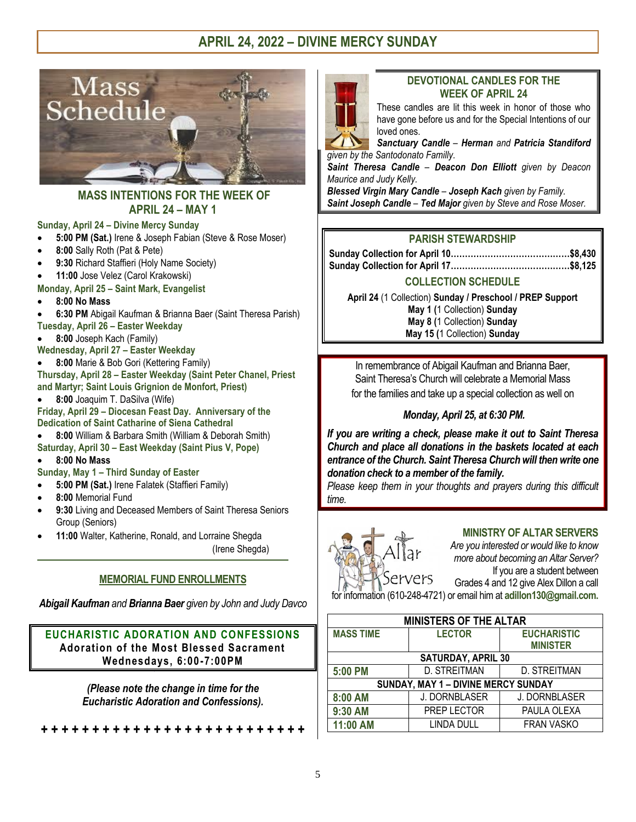

### **MASS INTENTIONS FOR THE WEEK OF APRIL 24 – MAY 1**

#### **Sunday, April 24 – Divine Mercy Sunday**

- **5:00 PM (Sat.)** Irene & Joseph Fabian (Steve & Rose Moser)
- **8:00** Sally Roth (Pat & Pete)
- **9:30** Richard Staffieri (Holy Name Society)
- **11:00** Jose Velez (Carol Krakowski)
- **Monday, April 25 – Saint Mark, Evangelist**
- **8:00 No Mass**
- **6:30 PM** Abigail Kaufman & Brianna Baer (Saint Theresa Parish)
- **Tuesday, April 26 – Easter Weekday**
- **8:00** Joseph Kach (Family)
- **Wednesday, April 27 – Easter Weekday**
- **8:00** Marie & Bob Gori (Kettering Family)
- **Thursday, April 28 – Easter Weekday (Saint Peter Chanel, Priest and Martyr; Saint Louis Grignion de Monfort, Priest)**
- **8:00** Joaquim T. DaSilva (Wife)

**Friday, April 29 – Diocesan Feast Day. Anniversary of the Dedication of Saint Catharine of Siena Cathedral** 

- **8:00** William & Barbara Smith (William & Deborah Smith)
- **Saturday, April 30 – East Weekday (Saint Pius V, Pope)**

#### **8:00 No Mass**

- **Sunday, May 1 – Third Sunday of Easter**
- **5:00 PM (Sat.)** Irene Falatek (Staffieri Family)
- **8:00** Memorial Fund
- **9:30** Living and Deceased Members of Saint Theresa Seniors Group (Seniors)

\_\_\_\_\_\_\_\_\_\_\_\_\_\_\_\_\_\_\_\_\_\_\_\_\_\_\_\_\_\_\_\_\_\_\_\_\_\_\_\_\_\_\_\_\_\_\_\_\_\_\_\_\_\_\_\_\_\_\_\_\_\_\_\_\_\_\_\_\_\_\_\_\_\_\_\_\_\_\_\_\_\_\_\_\_\_\_\_\_\_\_\_\_\_\_\_\_\_\_\_\_\_\_\_\_\_

**11:00** Walter, Katherine, Ronald, and Lorraine Shegda

(Irene Shegda)

# **MEMORIAL FUND ENROLLMENTS**

*Abigail Kaufman and Brianna Baer given by John and Judy Davco*

# **EUCHARISTIC ADORATION AND CONFESSIONS Adoration of the Most Blessed Sacrament Wednesdays, 6:00 -7:00PM**

*(Please note the change in time for the Eucharistic Adoration and Confessions).*

**+ + + + + + + + + + + + + + + + + + + + + + + + + +** 

### **DEVOTIONAL CANDLES FOR THE WEEK OF APRIL 24**

These candles are lit this week in honor of those who have gone before us and for the Special Intentions of our loved ones.

*Sanctuary Candle – Herman and Patricia Standiford given by the Santodonato Familly.*

*Saint Theresa Candle – Deacon Don Elliott given by Deacon Maurice and Judy Kelly.*

*Blessed Virgin Mary Candle – Joseph Kach given by Family. Saint Joseph Candle – Ted Major given by Steve and Rose Moser.* 

# **PARISH STEWARDSHIP**

# **COLLECTION SCHEDULE**

**April 24** (1 Collection) **Sunday / Preschool / PREP Support May 1 (**1 Collection) **Sunday May 8 (**1 Collection) **Sunday May 15 (**1 Collection) **Sunday**

In remembrance of Abigail Kaufman and Brianna Baer, Saint Theresa's Church will celebrate a Memorial Mass for the families and take up a special collection as well on

# *Monday, April 25, at 6:30 PM.*

*If you are writing a check, please make it out to Saint Theresa Church and place all donations in the baskets located at each entrance of the Church. Saint Theresa Church will then write one donation check to a member of the family.*

*Please keep them in your thoughts and prayers during this difficult time.*



# **MINISTRY OF ALTAR SERVERS**

*Are you interested or would like to know more about becoming an Altar Server?* If you are a student between Grades 4 and 12 give Alex Dillon a call for information (610-248-4721) or email him at **[adillon130@gmail.com.](mailto:adillon130@gmail.com)**

**MINISTERS OF THE ALTAR MASS TIME LECTOR EUCHARISTIC MINISTER SATURDAY, APRIL 30 5:00 PM** D. STREITMAN D. STREITMAN **SUNDAY, MAY 1 – DIVINE MERCY SUNDAY 8:00 AM** J. DORNBLASER J. DORNBLASER 9:30 AM **PREP LECTOR** PAULA OLEXA **11:00 AM** LINDA DULL FRAN VASKO